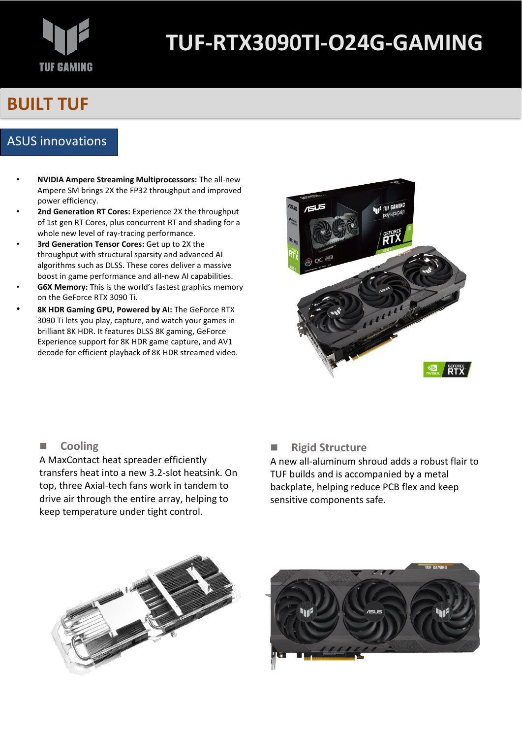# **TUF GAMING**

## **TUF-RTX3090TI-O24G-GAMING**

## **BUILT TUF**

## ASUS innovations

- **NVIDIA Ampere Streaming Multiprocessors:** The all-new Ampere SM brings 2X the FP32 throughput and improved power efficiency.
- **2nd Generation RT Cores:** Experience 2X the throughput of 1st gen RT Cores, plus concurrent RT and shading for a whole new level of ray-tracing performance.
- **3rd Generation Tensor Cores:** Get up to 2X the throughput with structural sparsity and advanced AI algorithms such as DLSS. These cores deliver a massive boost in game performance and all-new AI capabilities.
- **G6X Memory:** This is the world's fastest graphics memory on the GeForce RTX 3090 Ti.
- **8K HDR Gaming GPU, Powered by AI:** The GeForce RTX 3090 Ti lets you play, capture, and watch your games in brilliant 8K HDR. It features DLSS 8K gaming, GeForce Experience support for 8K HDR game capture, and AV1 decode for efficient playback of 8K HDR streamed video.



## ■ **Cooling**

A MaxContact heat spreader efficiently transfers heat into a new 3.2-slot heatsink. On top, three Axial-tech fans work in tandem to drive air through the entire array, helping to keep temperature under tight control.

## ■ **Rigid Structure**

A new all-aluminum shroud adds a robust flair to TUF builds and is accompanied by a metal backplate, helping reduce PCB flex and keep sensitive components safe.



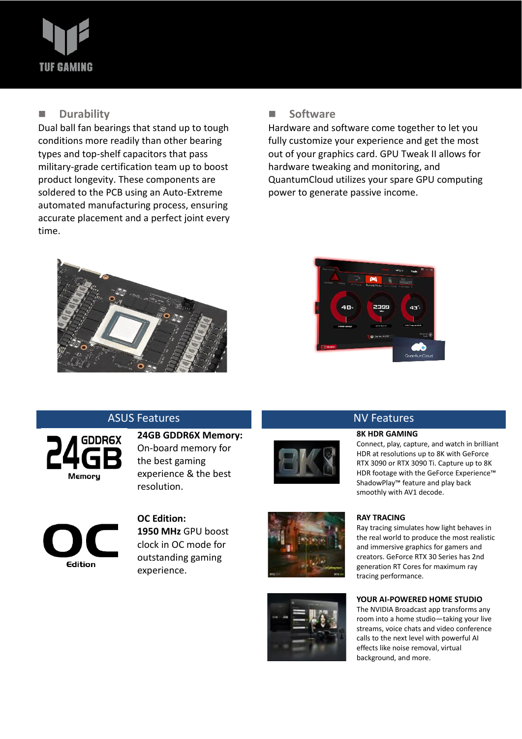# **TUF GAMING**

## ■ **Durability**

Dual ball fan bearings that stand up to tough conditions more readily than other bearing types and top-shelf capacitors that pass military-grade certification team up to boost product longevity. These components are soldered to the PCB using an Auto-Extreme automated manufacturing process, ensuring accurate placement and a perfect joint every time.

## ■ **Software**

Hardware and software come together to let you fully customize your experience and get the most out of your graphics card. GPU Tweak II allows for hardware tweaking and monitoring, and QuantumCloud utilizes your spare GPU computing power to generate passive income.





## ASUS Features **NV Features** NV Features



**24GB GDDR6X Memory:** On-board memory for the best gaming experience & the best resolution.





) **OC Edition: 1950 MHz** GPU boost clock in OC mode for outstanding gaming experience.





## **8K HDR GAMING**

Connect, play, capture, and watch in brilliant HDR at resolutions up to 8K with GeForce RTX 3090 or RTX 3090 Ti. Capture up to 8K HDR footage with the GeForce Experience™ ShadowPlay™ feature and play back smoothly with AV1 decode.

## **RAY TRACING**

Ray tracing simulates how light behaves in the real world to produce the most realistic and immersive graphics for gamers and creators. GeForce RTX 30 Series has 2nd generation RT Cores for maximum ray tracing performance.

## **YOUR AI-POWERED HOME STUDIO**

The NVIDIA Broadcast app transforms any room into a home studio—taking your live streams, voice chats and video conference calls to the next level with powerful AI effects like noise removal, virtual background, and more.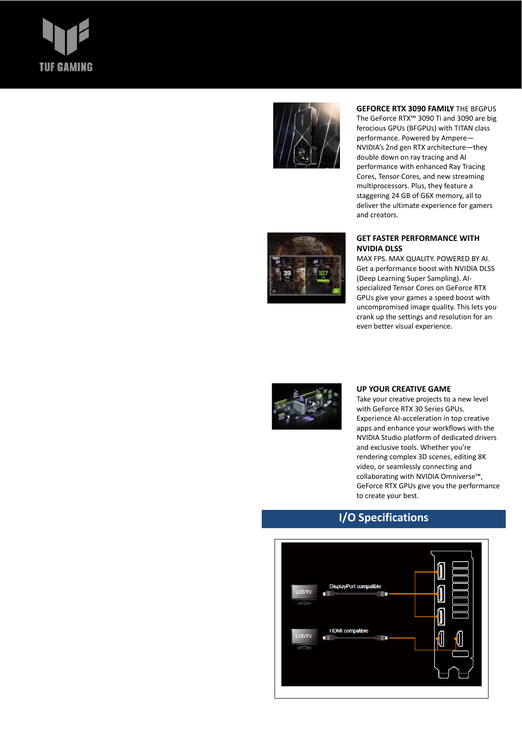# **TUF GAMING**



### **GEFORCE RTX 3090 FAMILY** THE BFGPUS

The GeForce RTX™ 3090 Ti and 3090 are big ferocious GPUs (BFGPUs) with TITAN class performance. Powered by Ampere— NVIDIA's 2nd gen RTX architecture—they double down on ray tracing and AI performance with enhanced Ray Tracing Cores, Tensor Cores, and new streaming multiprocessors. Plus, they feature a staggering 24 GB of G6X memory, all to deliver the ultimate experience for gamers and creators.



## **GET FASTER PERFORMANCE WITH NVIDIA DLSS**

MAX FPS. MAX QUALITY. POWERED BY AI. Get a performance boost with NVIDIA DLSS (Deep Learning Super Sampling). AIspecialized Tensor Cores on GeForce RTX GPUs give your games a speed boost with uncompromised image quality. This lets you crank up the settings and resolution for an even better visual experience.



### **UP YOUR CREATIVE GAME**

Take your creative projects to a new level with GeForce RTX 30 Series GPUs. Experience AI-acceleration in top creative apps and enhance your workflows with the NVIDIA Studio platform of dedicated drivers and exclusive tools. Whether you're rendering complex 3D scenes, editing 8K video, or seamlessly connecting and collaborating with NVIDIA Omniverse™, GeForce RTX GPUs give you the performance to create your best.

## **I/O Specifications**

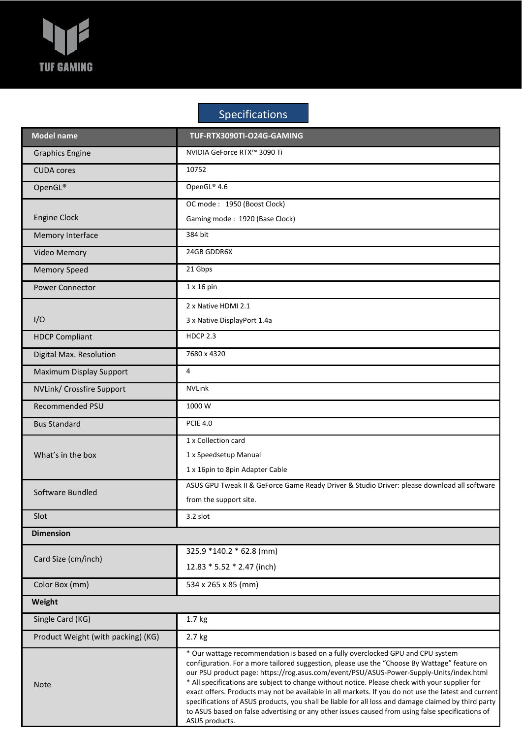

## Specifications

| <b>Model name</b>                  | TUF-RTX3090TI-O24G-GAMING                                                                                                                                                                                                                                                                                                                                                                                                                                                                                                                                                                                                                                                                                         |
|------------------------------------|-------------------------------------------------------------------------------------------------------------------------------------------------------------------------------------------------------------------------------------------------------------------------------------------------------------------------------------------------------------------------------------------------------------------------------------------------------------------------------------------------------------------------------------------------------------------------------------------------------------------------------------------------------------------------------------------------------------------|
| <b>Graphics Engine</b>             | NVIDIA GeForce RTX™ 3090 Ti                                                                                                                                                                                                                                                                                                                                                                                                                                                                                                                                                                                                                                                                                       |
| <b>CUDA</b> cores                  | 10752                                                                                                                                                                                                                                                                                                                                                                                                                                                                                                                                                                                                                                                                                                             |
| OpenGL®                            | OpenGL® 4.6                                                                                                                                                                                                                                                                                                                                                                                                                                                                                                                                                                                                                                                                                                       |
|                                    | OC mode: 1950 (Boost Clock)                                                                                                                                                                                                                                                                                                                                                                                                                                                                                                                                                                                                                                                                                       |
| <b>Engine Clock</b>                | Gaming mode: 1920 (Base Clock)                                                                                                                                                                                                                                                                                                                                                                                                                                                                                                                                                                                                                                                                                    |
| Memory Interface                   | 384 bit                                                                                                                                                                                                                                                                                                                                                                                                                                                                                                                                                                                                                                                                                                           |
| Video Memory                       | 24GB GDDR6X                                                                                                                                                                                                                                                                                                                                                                                                                                                                                                                                                                                                                                                                                                       |
| <b>Memory Speed</b>                | 21 Gbps                                                                                                                                                                                                                                                                                                                                                                                                                                                                                                                                                                                                                                                                                                           |
| <b>Power Connector</b>             | $1 \times 16$ pin                                                                                                                                                                                                                                                                                                                                                                                                                                                                                                                                                                                                                                                                                                 |
|                                    | 2 x Native HDMI 2.1                                                                                                                                                                                                                                                                                                                                                                                                                                                                                                                                                                                                                                                                                               |
| I/O                                | 3 x Native DisplayPort 1.4a                                                                                                                                                                                                                                                                                                                                                                                                                                                                                                                                                                                                                                                                                       |
| <b>HDCP Compliant</b>              | <b>HDCP 2.3</b>                                                                                                                                                                                                                                                                                                                                                                                                                                                                                                                                                                                                                                                                                                   |
| Digital Max. Resolution            | 7680 x 4320                                                                                                                                                                                                                                                                                                                                                                                                                                                                                                                                                                                                                                                                                                       |
| Maximum Display Support            | 4                                                                                                                                                                                                                                                                                                                                                                                                                                                                                                                                                                                                                                                                                                                 |
| NVLink/ Crossfire Support          | <b>NVLink</b>                                                                                                                                                                                                                                                                                                                                                                                                                                                                                                                                                                                                                                                                                                     |
| Recommended PSU                    | 1000 W                                                                                                                                                                                                                                                                                                                                                                                                                                                                                                                                                                                                                                                                                                            |
| <b>Bus Standard</b>                | <b>PCIE 4.0</b>                                                                                                                                                                                                                                                                                                                                                                                                                                                                                                                                                                                                                                                                                                   |
| What's in the box                  | 1 x Collection card                                                                                                                                                                                                                                                                                                                                                                                                                                                                                                                                                                                                                                                                                               |
|                                    | 1 x Speedsetup Manual                                                                                                                                                                                                                                                                                                                                                                                                                                                                                                                                                                                                                                                                                             |
|                                    | 1 x 16pin to 8pin Adapter Cable                                                                                                                                                                                                                                                                                                                                                                                                                                                                                                                                                                                                                                                                                   |
| Software Bundled                   | ASUS GPU Tweak II & GeForce Game Ready Driver & Studio Driver: please download all software                                                                                                                                                                                                                                                                                                                                                                                                                                                                                                                                                                                                                       |
|                                    | from the support site.                                                                                                                                                                                                                                                                                                                                                                                                                                                                                                                                                                                                                                                                                            |
| Slot                               | 3.2 slot                                                                                                                                                                                                                                                                                                                                                                                                                                                                                                                                                                                                                                                                                                          |
| <b>Dimension</b>                   |                                                                                                                                                                                                                                                                                                                                                                                                                                                                                                                                                                                                                                                                                                                   |
| Card Size (cm/inch)                | 325.9 *140.2 * 62.8 (mm)                                                                                                                                                                                                                                                                                                                                                                                                                                                                                                                                                                                                                                                                                          |
|                                    | 12.83 * 5.52 * 2.47 (inch)                                                                                                                                                                                                                                                                                                                                                                                                                                                                                                                                                                                                                                                                                        |
| Color Box (mm)                     | 534 x 265 x 85 (mm)                                                                                                                                                                                                                                                                                                                                                                                                                                                                                                                                                                                                                                                                                               |
| Weight                             |                                                                                                                                                                                                                                                                                                                                                                                                                                                                                                                                                                                                                                                                                                                   |
| Single Card (KG)                   | 1.7 kg                                                                                                                                                                                                                                                                                                                                                                                                                                                                                                                                                                                                                                                                                                            |
| Product Weight (with packing) (KG) | 2.7 kg                                                                                                                                                                                                                                                                                                                                                                                                                                                                                                                                                                                                                                                                                                            |
| <b>Note</b>                        | * Our wattage recommendation is based on a fully overclocked GPU and CPU system<br>configuration. For a more tailored suggestion, please use the "Choose By Wattage" feature on<br>our PSU product page: https://rog.asus.com/event/PSU/ASUS-Power-Supply-Units/index.html<br>* All specifications are subject to change without notice. Please check with your supplier for<br>exact offers. Products may not be available in all markets. If you do not use the latest and current<br>specifications of ASUS products, you shall be liable for all loss and damage claimed by third party<br>to ASUS based on false advertising or any other issues caused from using false specifications of<br>ASUS products. |